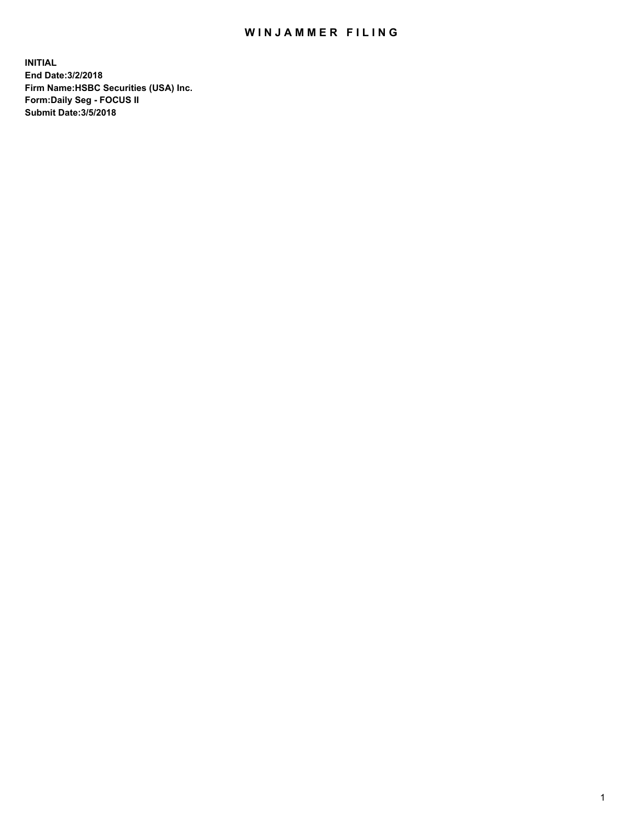## WIN JAMMER FILING

**INITIAL End Date:3/2/2018 Firm Name:HSBC Securities (USA) Inc. Form:Daily Seg - FOCUS II Submit Date:3/5/2018**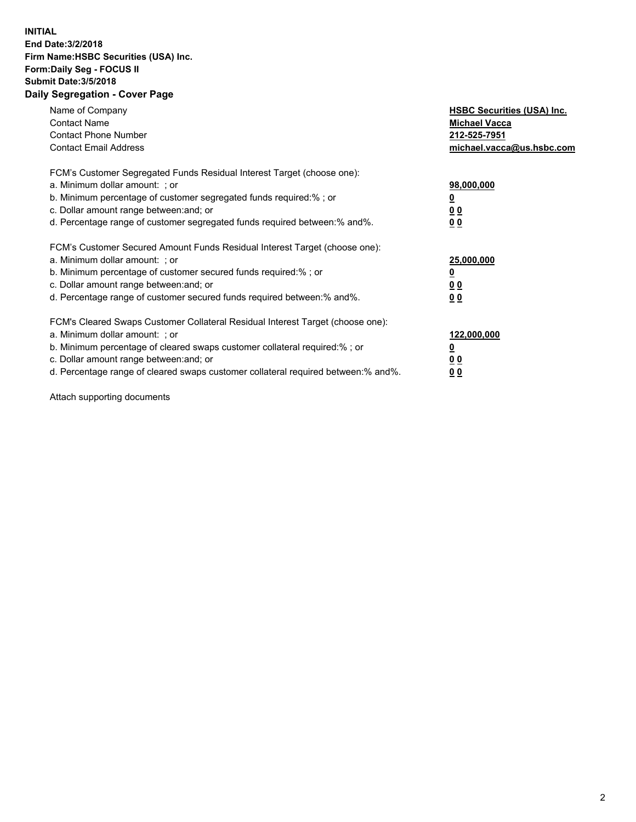## **INITIAL End Date:3/2/2018 Firm Name:HSBC Securities (USA) Inc. Form:Daily Seg - FOCUS II Submit Date:3/5/2018 Daily Segregation - Cover Page**

| Name of Company<br><b>Contact Name</b><br><b>Contact Phone Number</b><br><b>Contact Email Address</b>                                                                                                                                                                                                                         | <b>HSBC Securities (USA) Inc.</b><br><b>Michael Vacca</b><br>212-525-7951<br>michael.vacca@us.hsbc.com |
|-------------------------------------------------------------------------------------------------------------------------------------------------------------------------------------------------------------------------------------------------------------------------------------------------------------------------------|--------------------------------------------------------------------------------------------------------|
| FCM's Customer Segregated Funds Residual Interest Target (choose one):<br>a. Minimum dollar amount: ; or<br>b. Minimum percentage of customer segregated funds required:%; or<br>c. Dollar amount range between: and; or<br>d. Percentage range of customer segregated funds required between: % and %.                       | 98,000,000<br><u>0</u><br><u>00</u><br>00                                                              |
| FCM's Customer Secured Amount Funds Residual Interest Target (choose one):<br>a. Minimum dollar amount: ; or<br>b. Minimum percentage of customer secured funds required:%; or<br>c. Dollar amount range between: and; or<br>d. Percentage range of customer secured funds required between: % and %.                         | 25,000,000<br><u>0</u><br><u>00</u><br>00                                                              |
| FCM's Cleared Swaps Customer Collateral Residual Interest Target (choose one):<br>a. Minimum dollar amount: ; or<br>b. Minimum percentage of cleared swaps customer collateral required:%; or<br>c. Dollar amount range between: and; or<br>d. Percentage range of cleared swaps customer collateral required between:% and%. | 122,000,000<br><u>0</u><br><u>00</u><br><u>00</u>                                                      |

Attach supporting documents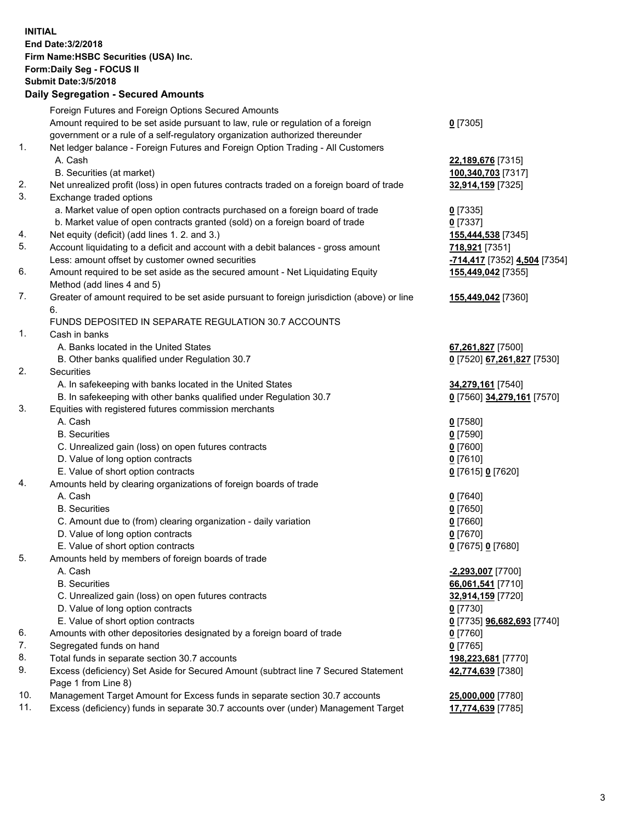**INITIAL End Date:3/2/2018 Firm Name:HSBC Securities (USA) Inc. Form:Daily Seg - FOCUS II Submit Date:3/5/2018 Daily Segregation - Secured Amounts** Foreign Futures and Foreign Options Secured Amounts Amount required to be set aside pursuant to law, rule or regulation of a foreign government or a rule of a self-regulatory organization authorized thereunder **0** [7305] 1. Net ledger balance - Foreign Futures and Foreign Option Trading - All Customers A. Cash **22,189,676** [7315] B. Securities (at market) **100,340,703** [7317] 2. Net unrealized profit (loss) in open futures contracts traded on a foreign board of trade **32,914,159** [7325] 3. Exchange traded options a. Market value of open option contracts purchased on a foreign board of trade **0** [7335] b. Market value of open contracts granted (sold) on a foreign board of trade **0** [7337] 4. Net equity (deficit) (add lines 1. 2. and 3.) **155,444,538** [7345] 5. Account liquidating to a deficit and account with a debit balances - gross amount **718,921** [7351] Less: amount offset by customer owned securities **-714,417** [7352] **4,504** [7354] 6. Amount required to be set aside as the secured amount - Net Liquidating Equity Method (add lines 4 and 5) **155,449,042** [7355] 7. Greater of amount required to be set aside pursuant to foreign jurisdiction (above) or line 6. **155,449,042** [7360] FUNDS DEPOSITED IN SEPARATE REGULATION 30.7 ACCOUNTS 1. Cash in banks A. Banks located in the United States **67,261,827** [7500] B. Other banks qualified under Regulation 30.7 **0** [7520] **67,261,827** [7530] 2. Securities A. In safekeeping with banks located in the United States **34,279,161** [7540] B. In safekeeping with other banks qualified under Regulation 30.7 **0** [7560] **34,279,161** [7570] 3. Equities with registered futures commission merchants A. Cash **0** [7580] B. Securities **0** [7590] C. Unrealized gain (loss) on open futures contracts **0** [7600] D. Value of long option contracts **0** [7610] E. Value of short option contracts **0** [7615] **0** [7620] 4. Amounts held by clearing organizations of foreign boards of trade A. Cash **0** [7640] B. Securities **0** [7650] C. Amount due to (from) clearing organization - daily variation **0** [7660] D. Value of long option contracts **0** [7670] E. Value of short option contracts **0** [7675] **0** [7680] 5. Amounts held by members of foreign boards of trade A. Cash **-2,293,007** [7700] B. Securities **66,061,541** [7710] C. Unrealized gain (loss) on open futures contracts **32,914,159** [7720] D. Value of long option contracts **0** [7730] E. Value of short option contracts **0** [7735] **96,682,693** [7740] 6. Amounts with other depositories designated by a foreign board of trade **0** [7760] 7. Segregated funds on hand **0** [7765] 8. Total funds in separate section 30.7 accounts **198,223,681** [7770] 9. Excess (deficiency) Set Aside for Secured Amount (subtract line 7 Secured Statement Page 1 from Line 8) **42,774,639** [7380] 10. Management Target Amount for Excess funds in separate section 30.7 accounts **25,000,000** [7780] 11. Excess (deficiency) funds in separate 30.7 accounts over (under) Management Target **17,774,639** [7785]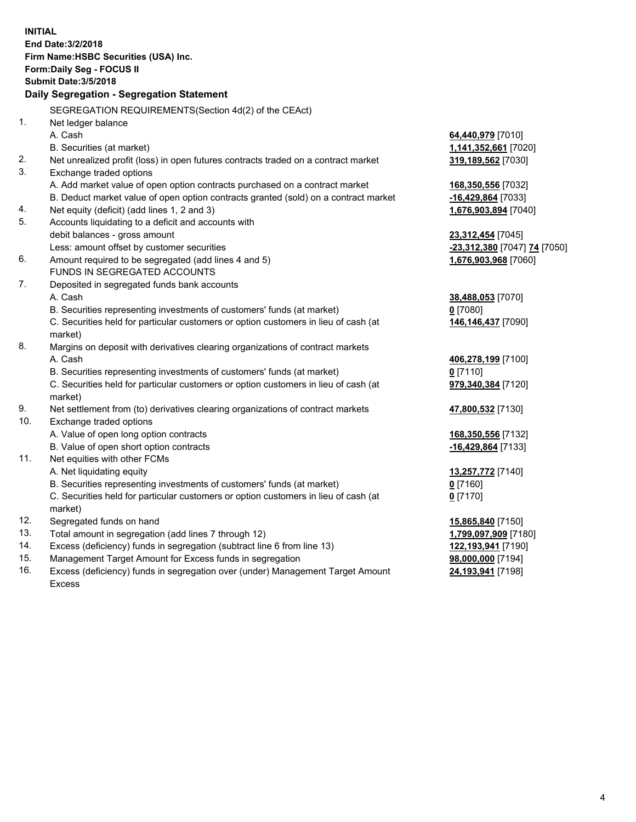| <b>INITIAL</b> | End Date: 3/2/2018<br>Firm Name: HSBC Securities (USA) Inc.<br>Form: Daily Seg - FOCUS II<br><b>Submit Date: 3/5/2018</b> |                              |
|----------------|---------------------------------------------------------------------------------------------------------------------------|------------------------------|
|                | Daily Segregation - Segregation Statement                                                                                 |                              |
|                |                                                                                                                           |                              |
| 1.             | SEGREGATION REQUIREMENTS(Section 4d(2) of the CEAct)                                                                      |                              |
|                | Net ledger balance<br>A. Cash                                                                                             | 64,440,979 [7010]            |
|                | B. Securities (at market)                                                                                                 | 1,141,352,661 [7020]         |
| 2.             | Net unrealized profit (loss) in open futures contracts traded on a contract market                                        | 319,189,562 [7030]           |
| 3.             | Exchange traded options                                                                                                   |                              |
|                | A. Add market value of open option contracts purchased on a contract market                                               | 168,350,556 [7032]           |
|                | B. Deduct market value of open option contracts granted (sold) on a contract market                                       | -16,429,864 [7033]           |
| 4.             | Net equity (deficit) (add lines 1, 2 and 3)                                                                               | 1,676,903,894 [7040]         |
| 5.             | Accounts liquidating to a deficit and accounts with                                                                       |                              |
|                | debit balances - gross amount                                                                                             | 23,312,454 [7045]            |
|                | Less: amount offset by customer securities                                                                                | -23,312,380 [7047] 74 [7050] |
| 6.             | Amount required to be segregated (add lines 4 and 5)                                                                      | 1,676,903,968 [7060]         |
|                | FUNDS IN SEGREGATED ACCOUNTS                                                                                              |                              |
| 7.             | Deposited in segregated funds bank accounts                                                                               |                              |
|                | A. Cash                                                                                                                   | 38,488,053 [7070]            |
|                | B. Securities representing investments of customers' funds (at market)                                                    | $0$ [7080]                   |
|                | C. Securities held for particular customers or option customers in lieu of cash (at<br>market)                            | 146,146,437 [7090]           |
| 8.             | Margins on deposit with derivatives clearing organizations of contract markets                                            |                              |
|                | A. Cash                                                                                                                   | 406,278,199 [7100]           |
|                | B. Securities representing investments of customers' funds (at market)                                                    | $0$ [7110]                   |
|                | C. Securities held for particular customers or option customers in lieu of cash (at                                       | 979,340,384 [7120]           |
| 9.             | market)                                                                                                                   |                              |
| 10.            | Net settlement from (to) derivatives clearing organizations of contract markets<br>Exchange traded options                | 47,800,532 [7130]            |
|                | A. Value of open long option contracts                                                                                    | 168,350,556 [7132]           |
|                | B. Value of open short option contracts                                                                                   | -16,429,864 [7133]           |
| 11.            | Net equities with other FCMs                                                                                              |                              |
|                | A. Net liquidating equity                                                                                                 | 13,257,772 [7140]            |
|                | B. Securities representing investments of customers' funds (at market)                                                    | 0 <sup>[7160]</sup>          |
|                | C. Securities held for particular customers or option customers in lieu of cash (at                                       | $0$ [7170]                   |
|                | market)                                                                                                                   |                              |
| 12.            | Segregated funds on hand                                                                                                  | 15,865,840 [7150]            |
| 13.            | Total amount in segregation (add lines 7 through 12)                                                                      | 1,799,097,909 [7180]         |
| 14.            | Excess (deficiency) funds in segregation (subtract line 6 from line 13)                                                   | 122,193,941 [7190]           |
| 15.            | Management Target Amount for Excess funds in segregation                                                                  | 98,000,000 [7194]            |

16. Excess (deficiency) funds in segregation over (under) Management Target Amount Excess

**24,193,941** [7198]